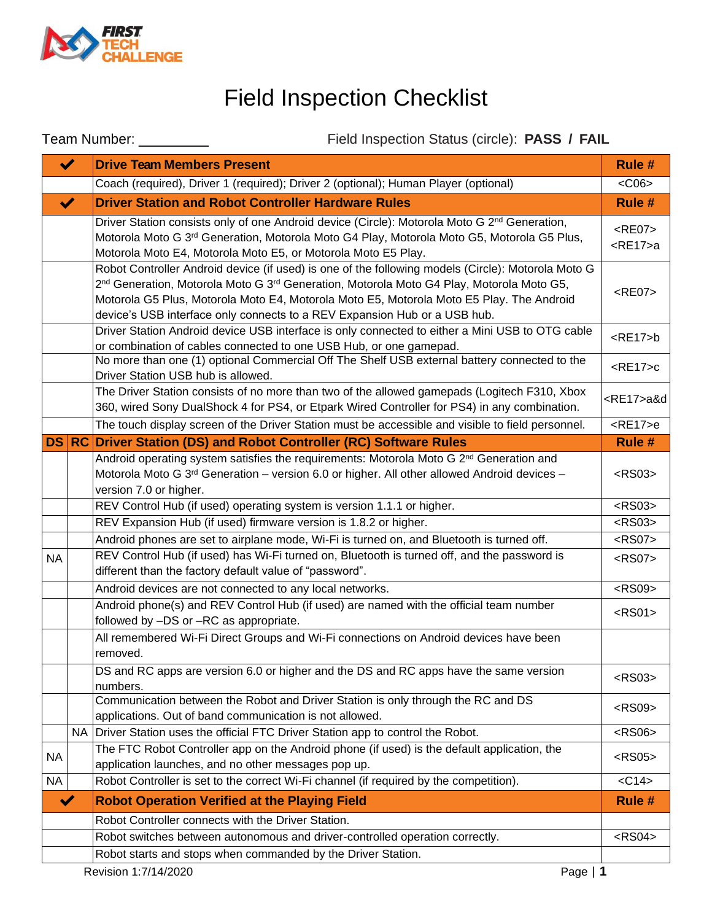

## Field Inspection Checklist

|                      |                      | Field Inspection Status (circle): PASS / FAIL<br>Team Number: _________                                                                                                                                                                                                                                                                                                                         |                      |  |
|----------------------|----------------------|-------------------------------------------------------------------------------------------------------------------------------------------------------------------------------------------------------------------------------------------------------------------------------------------------------------------------------------------------------------------------------------------------|----------------------|--|
|                      | $\blacktriangledown$ | <b>Drive Team Members Present</b>                                                                                                                                                                                                                                                                                                                                                               | Rule #               |  |
|                      |                      | Coach (required), Driver 1 (required); Driver 2 (optional); Human Player (optional)                                                                                                                                                                                                                                                                                                             | $<$ C06 $>$          |  |
|                      | $\blacktriangledown$ | <b>Driver Station and Robot Controller Hardware Rules</b>                                                                                                                                                                                                                                                                                                                                       | Rule #               |  |
|                      |                      | $<$ RE07 $>$<br>$<$ RE17 $> a$                                                                                                                                                                                                                                                                                                                                                                  |                      |  |
|                      |                      | Robot Controller Android device (if used) is one of the following models (Circle): Motorola Moto G<br>2 <sup>nd</sup> Generation, Motorola Moto G 3 <sup>rd</sup> Generation, Motorola Moto G4 Play, Motorola Moto G5,<br>Motorola G5 Plus, Motorola Moto E4, Motorola Moto E5, Motorola Moto E5 Play. The Android<br>device's USB interface only connects to a REV Expansion Hub or a USB hub. | $<$ RE07 $>$         |  |
|                      |                      | Driver Station Android device USB interface is only connected to either a Mini USB to OTG cable<br>or combination of cables connected to one USB Hub, or one gamepad.                                                                                                                                                                                                                           | $<$ RE17>b           |  |
|                      |                      | No more than one (1) optional Commercial Off The Shelf USB external battery connected to the<br>Driver Station USB hub is allowed.                                                                                                                                                                                                                                                              | $<$ RE17 $>$ c       |  |
|                      |                      | The Driver Station consists of no more than two of the allowed gamepads (Logitech F310, Xbox<br>360, wired Sony DualShock 4 for PS4, or Etpark Wired Controller for PS4) in any combination.                                                                                                                                                                                                    | <re17>a&amp;d</re17> |  |
|                      |                      | The touch display screen of the Driver Station must be accessible and visible to field personnel.                                                                                                                                                                                                                                                                                               | $<$ RE17 $>$ e       |  |
|                      |                      | DS RC Driver Station (DS) and Robot Controller (RC) Software Rules                                                                                                                                                                                                                                                                                                                              | Rule #               |  |
|                      |                      | Android operating system satisfies the requirements: Motorola Moto G 2 <sup>nd</sup> Generation and<br>Motorola Moto G 3 <sup>rd</sup> Generation - version 6.0 or higher. All other allowed Android devices -<br>version 7.0 or higher.                                                                                                                                                        | $<$ RS03>            |  |
|                      |                      | REV Control Hub (if used) operating system is version 1.1.1 or higher.                                                                                                                                                                                                                                                                                                                          | $<$ RS03>            |  |
|                      |                      | REV Expansion Hub (if used) firmware version is 1.8.2 or higher.                                                                                                                                                                                                                                                                                                                                | $<$ RS03>            |  |
|                      |                      | Android phones are set to airplane mode, Wi-Fi is turned on, and Bluetooth is turned off.                                                                                                                                                                                                                                                                                                       | <rs07></rs07>        |  |
| <b>NA</b>            |                      | REV Control Hub (if used) has Wi-Fi turned on, Bluetooth is turned off, and the password is<br>different than the factory default value of "password".                                                                                                                                                                                                                                          | <rs07></rs07>        |  |
|                      |                      | Android devices are not connected to any local networks.                                                                                                                                                                                                                                                                                                                                        | $<$ RS09>            |  |
|                      |                      | Android phone(s) and REV Control Hub (if used) are named with the official team number<br>followed by -DS or -RC as appropriate.                                                                                                                                                                                                                                                                | $<$ RS01>            |  |
|                      |                      | All remembered Wi-Fi Direct Groups and Wi-Fi connections on Android devices have been<br>removed.                                                                                                                                                                                                                                                                                               |                      |  |
|                      |                      | DS and RC apps are version 6.0 or higher and the DS and RC apps have the same version<br>numbers.                                                                                                                                                                                                                                                                                               | $<$ RS03>            |  |
|                      |                      | Communication between the Robot and Driver Station is only through the RC and DS<br>applications. Out of band communication is not allowed.                                                                                                                                                                                                                                                     | <rs09></rs09>        |  |
|                      |                      | NA   Driver Station uses the official FTC Driver Station app to control the Robot.                                                                                                                                                                                                                                                                                                              | <rs06></rs06>        |  |
| <b>NA</b>            |                      | The FTC Robot Controller app on the Android phone (if used) is the default application, the<br>application launches, and no other messages pop up.                                                                                                                                                                                                                                              | $<$ RS05>            |  |
| NA                   |                      | Robot Controller is set to the correct Wi-Fi channel (if required by the competition).                                                                                                                                                                                                                                                                                                          | $<$ C14 $>$          |  |
| $\blacktriangledown$ |                      | <b>Robot Operation Verified at the Playing Field</b>                                                                                                                                                                                                                                                                                                                                            | Rule #               |  |
|                      |                      | Robot Controller connects with the Driver Station.                                                                                                                                                                                                                                                                                                                                              |                      |  |
|                      |                      | Robot switches between autonomous and driver-controlled operation correctly.                                                                                                                                                                                                                                                                                                                    | $<$ RS04 $>$         |  |
|                      |                      | Robot starts and stops when commanded by the Driver Station.                                                                                                                                                                                                                                                                                                                                    |                      |  |
|                      |                      | Revision 1:7/14/2020<br>Page $ 1$                                                                                                                                                                                                                                                                                                                                                               |                      |  |